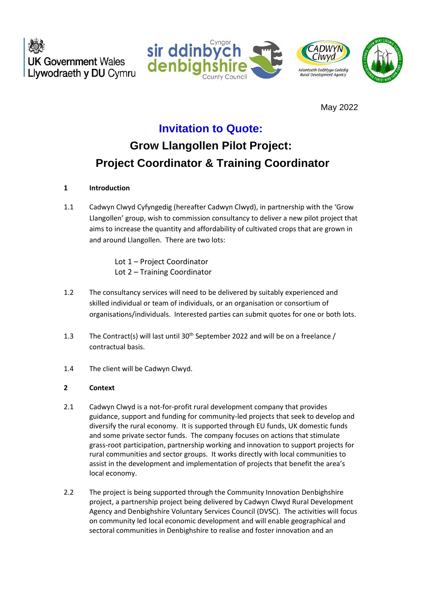



May 2022

## **Invitation to Quote:**

# **Grow Llangollen Pilot Project: Project Coordinator & Training Coordinator**

- **1 Introduction**
- 1.1 Cadwyn Clwyd Cyfyngedig (hereafter Cadwyn Clwyd), in partnership with the 'Grow Llangollen' group, wish to commission consultancy to deliver a new pilot project that aims to increase the quantity and affordability of cultivated crops that are grown in and around Llangollen. There are two lots:

Lot 1 – Project Coordinator Lot 2 – Training Coordinator

- 1.2 The consultancy services will need to be delivered by suitably experienced and skilled individual or team of individuals, or an organisation or consortium of organisations/individuals. Interested parties can submit quotes for one or both lots.
- 1.3 The Contract(s) will last until  $30<sup>th</sup>$  September 2022 and will be on a freelance / contractual basis.
- 1.4 The client will be Cadwyn Clwyd.

## **2 Context**

- 2.1 Cadwyn Clwyd is a not-for-profit rural development company that provides guidance, support and funding for community-led projects that seek to develop and diversify the rural economy. It is supported through EU funds, UK domestic funds and some private sector funds. The company focuses on actions that stimulate grass-root participation, partnership working and innovation to support projects for rural communities and sector groups. It works directly with local communities to assist in the development and implementation of projects that benefit the area's local economy.
- 2.2 The project is being supported through the Community Innovation Denbighshire project, a partnership project being delivered by Cadwyn Clwyd Rural Development Agency and Denbighshire Voluntary Services Council (DVSC). The activities will focus on community led local economic development and will enable geographical and sectoral communities in Denbighshire to realise and foster innovation and an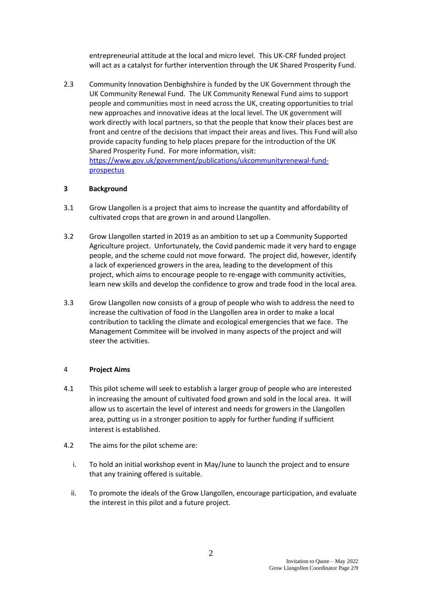entrepreneurial attitude at the local and micro level. This UK-CRF funded project will act as a catalyst for further intervention through the UK Shared Prosperity Fund.

2.3 Community Innovation Denbighshire is funded by the UK Government through the UK Community Renewal Fund. The UK Community Renewal Fund aims to support people and communities most in need across the UK, creating opportunities to trial new approaches and innovative ideas at the local level. The UK government will work directly with local partners, so that the people that know their places best are front and centre of the decisions that impact their areas and lives. This Fund will also provide capacity funding to help places prepare for the introduction of the UK Shared Prosperity Fund. For more information, visit: [https://www.gov.uk/government/publications/ukcommunityrenewal-fund](https://www.gov.uk/government/publications/ukcommunityrenewal-fund-prospectus)[prospectus](https://www.gov.uk/government/publications/ukcommunityrenewal-fund-prospectus)

## **3 Background**

- 3.1 Grow Llangollen is a project that aims to increase the quantity and affordability of cultivated crops that are grown in and around Llangollen.
- 3.2 Grow Llangollen started in 2019 as an ambition to set up a Community Supported Agriculture project. Unfortunately, the Covid pandemic made it very hard to engage people, and the scheme could not move forward. The project did, however, identify a lack of experienced growers in the area, leading to the development of this project, which aims to encourage people to re-engage with community activities, learn new skills and develop the confidence to grow and trade food in the local area.
- 3.3 Grow Llangollen now consists of a group of people who wish to address the need to increase the cultivation of food in the Llangollen area in order to make a local contribution to tackling the climate and ecological emergencies that we face. The Management Commitee will be involved in many aspects of the project and will steer the activities.

## 4 **Project Aims**

- 4.1 This pilot scheme will seek to establish a larger group of people who are interested in increasing the amount of cultivated food grown and sold in the local area. It will allow us to ascertain the level of interest and needs for growers in the Llangollen area, putting us in a stronger position to apply for further funding if sufficient interest is established.
- 4.2 The aims for the pilot scheme are:
	- i. To hold an initial workshop event in May/June to launch the project and to ensure that any training offered is suitable.
	- ii. To promote the ideals of the Grow Llangollen, encourage participation, and evaluate the interest in this pilot and a future project.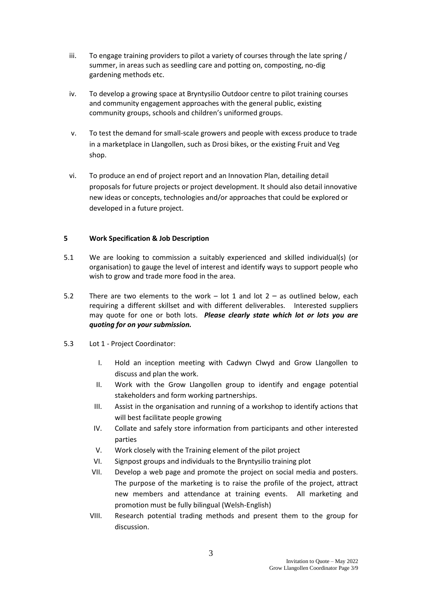- iii. To engage training providers to pilot a variety of courses through the late spring / summer, in areas such as seedling care and potting on, composting, no-dig gardening methods etc.
- iv. To develop a growing space at Bryntysilio Outdoor centre to pilot training courses and community engagement approaches with the general public, existing community groups, schools and children's uniformed groups.
- v. To test the demand for small-scale growers and people with excess produce to trade in a marketplace in Llangollen, such as Drosi bikes, or the existing Fruit and Veg shop.
- vi. To produce an end of project report and an Innovation Plan, detailing detail proposals for future projects or project development. It should also detail innovative new ideas or concepts, technologies and/or approaches that could be explored or developed in a future project.

## **5 Work Specification & Job Description**

- 5.1 We are looking to commission a suitably experienced and skilled individual(s) (or organisation) to gauge the level of interest and identify ways to support people who wish to grow and trade more food in the area.
- 5.2 There are two elements to the work  $-$  lot 1 and lot 2  $-$  as outlined below, each requiring a different skillset and with different deliverables. Interested suppliers may quote for one or both lots. *Please clearly state which lot or lots you are quoting for on your submission.*
- 5.3 Lot 1 Project Coordinator:
	- I. Hold an inception meeting with Cadwyn Clwyd and Grow Llangollen to discuss and plan the work.
	- II. Work with the Grow Llangollen group to identify and engage potential stakeholders and form working partnerships.
	- III. Assist in the organisation and running of a workshop to identify actions that will best facilitate people growing
	- IV. Collate and safely store information from participants and other interested parties
	- V. Work closely with the Training element of the pilot project
	- VI. Signpost groups and individuals to the Bryntysilio training plot
	- VII. Develop a web page and promote the project on social media and posters. The purpose of the marketing is to raise the profile of the project, attract new members and attendance at training events. All marketing and promotion must be fully bilingual (Welsh-English)
	- VIII. Research potential trading methods and present them to the group for discussion.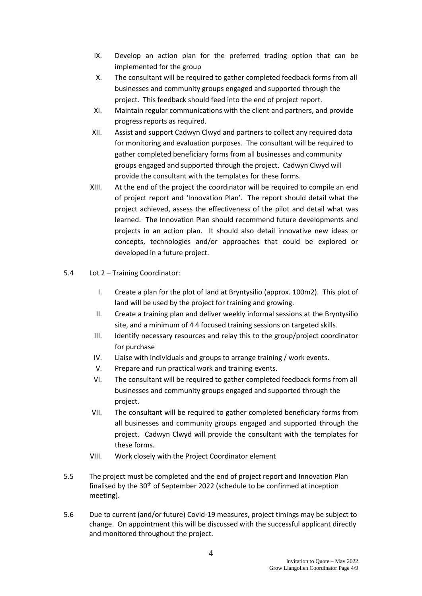- IX. Develop an action plan for the preferred trading option that can be implemented for the group
- X. The consultant will be required to gather completed feedback forms from all businesses and community groups engaged and supported through the project. This feedback should feed into the end of project report.
- XI. Maintain regular communications with the client and partners, and provide progress reports as required.
- XII. Assist and support Cadwyn Clwyd and partners to collect any required data for monitoring and evaluation purposes. The consultant will be required to gather completed beneficiary forms from all businesses and community groups engaged and supported through the project. Cadwyn Clwyd will provide the consultant with the templates for these forms.
- XIII. At the end of the project the coordinator will be required to compile an end of project report and 'Innovation Plan'. The report should detail what the project achieved, assess the effectiveness of the pilot and detail what was learned. The Innovation Plan should recommend future developments and projects in an action plan. It should also detail innovative new ideas or concepts, technologies and/or approaches that could be explored or developed in a future project.
- 5.4 Lot 2 Training Coordinator:
	- I. Create a plan for the plot of land at Bryntysilio (approx. 100m2). This plot of land will be used by the project for training and growing.
	- II. Create a training plan and deliver weekly informal sessions at the Bryntysilio site, and a minimum of 4 4 focused training sessions on targeted skills.
	- III. Identify necessary resources and relay this to the group/project coordinator for purchase
	- IV. Liaise with individuals and groups to arrange training / work events.
	- V. Prepare and run practical work and training events.
	- VI. The consultant will be required to gather completed feedback forms from all businesses and community groups engaged and supported through the project.
	- VII. The consultant will be required to gather completed beneficiary forms from all businesses and community groups engaged and supported through the project. Cadwyn Clwyd will provide the consultant with the templates for these forms.
	- VIII. Work closely with the Project Coordinator element
- 5.5 The project must be completed and the end of project report and Innovation Plan finalised by the  $30<sup>th</sup>$  of September 2022 (schedule to be confirmed at inception meeting).
- 5.6 Due to current (and/or future) Covid-19 measures, project timings may be subject to change. On appointment this will be discussed with the successful applicant directly and monitored throughout the project.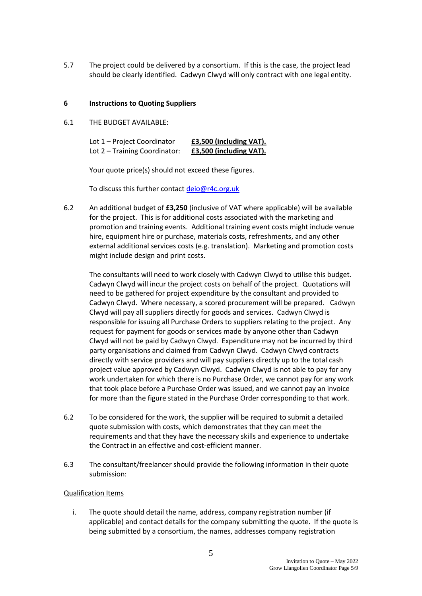5.7 The project could be delivered by a consortium. If this is the case, the project lead should be clearly identified. Cadwyn Clwyd will only contract with one legal entity.

## **6 Instructions to Quoting Suppliers**

6.1 THE BUDGET AVAILABLE:

| Lot 1 – Project Coordinator   | £3,500 (including VAT). |
|-------------------------------|-------------------------|
| Lot 2 - Training Coordinator: | £3,500 (including VAT). |

Your quote price(s) should not exceed these figures.

To discuss this further contact [deio@r4c.org.uk](mailto:deio@r4c.org.uk)

6.2 An additional budget of **£3,250** (inclusive of VAT where applicable) will be available for the project. This is for additional costs associated with the marketing and promotion and training events. Additional training event costs might include venue hire, equipment hire or purchase, materials costs, refreshments, and any other external additional services costs (e.g. translation). Marketing and promotion costs might include design and print costs.

The consultants will need to work closely with Cadwyn Clwyd to utilise this budget. Cadwyn Clwyd will incur the project costs on behalf of the project. Quotations will need to be gathered for project expenditure by the consultant and provided to Cadwyn Clwyd. Where necessary, a scored procurement will be prepared. Cadwyn Clwyd will pay all suppliers directly for goods and services. Cadwyn Clwyd is responsible for issuing all Purchase Orders to suppliers relating to the project. Any request for payment for goods or services made by anyone other than Cadwyn Clwyd will not be paid by Cadwyn Clwyd. Expenditure may not be incurred by third party organisations and claimed from Cadwyn Clwyd. Cadwyn Clwyd contracts directly with service providers and will pay suppliers directly up to the total cash project value approved by Cadwyn Clwyd. Cadwyn Clwyd is not able to pay for any work undertaken for which there is no Purchase Order, we cannot pay for any work that took place before a Purchase Order was issued, and we cannot pay an invoice for more than the figure stated in the Purchase Order corresponding to that work.

- 6.2 To be considered for the work, the supplier will be required to submit a detailed quote submission with costs, which demonstrates that they can meet the requirements and that they have the necessary skills and experience to undertake the Contract in an effective and cost-efficient manner.
- 6.3 The consultant/freelancer should provide the following information in their quote submission:

#### Qualification Items

i. The quote should detail the name, address, company registration number (if applicable) and contact details for the company submitting the quote. If the quote is being submitted by a consortium, the names, addresses company registration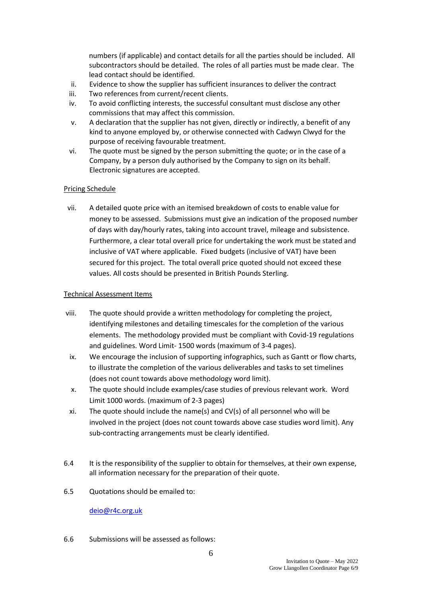numbers (if applicable) and contact details for all the parties should be included. All subcontractors should be detailed. The roles of all parties must be made clear. The lead contact should be identified.

- ii. Evidence to show the supplier has sufficient insurances to deliver the contract
- iii. Two references from current/recent clients.
- iv. To avoid conflicting interests, the successful consultant must disclose any other commissions that may affect this commission.
- v. A declaration that the supplier has not given, directly or indirectly, a benefit of any kind to anyone employed by, or otherwise connected with Cadwyn Clwyd for the purpose of receiving favourable treatment.
- vi. The quote must be signed by the person submitting the quote; or in the case of a Company, by a person duly authorised by the Company to sign on its behalf. Electronic signatures are accepted.

## Pricing Schedule

vii. A detailed quote price with an itemised breakdown of costs to enable value for money to be assessed. Submissions must give an indication of the proposed number of days with day/hourly rates, taking into account travel, mileage and subsistence. Furthermore, a clear total overall price for undertaking the work must be stated and inclusive of VAT where applicable. Fixed budgets (inclusive of VAT) have been secured for this project. The total overall price quoted should not exceed these values. All costs should be presented in British Pounds Sterling.

#### Technical Assessment Items

- viii. The quote should provide a written methodology for completing the project, identifying milestones and detailing timescales for the completion of the various elements. The methodology provided must be compliant with Covid-19 regulations and guidelines. Word Limit- 1500 words (maximum of 3-4 pages).
- ix. We encourage the inclusion of supporting infographics, such as Gantt or flow charts, to illustrate the completion of the various deliverables and tasks to set timelines (does not count towards above methodology word limit).
- x. The quote should include examples/case studies of previous relevant work. Word Limit 1000 words. (maximum of 2-3 pages)
- xi. The quote should include the name(s) and CV(s) of all personnel who will be involved in the project (does not count towards above case studies word limit). Any sub-contracting arrangements must be clearly identified.
- 6.4 It is the responsibility of the supplier to obtain for themselves, at their own expense, all information necessary for the preparation of their quote.
- 6.5 Quotations should be emailed to:

[deio@r4c.org.uk](mailto:deio@r4c.org.uk)

6.6 Submissions will be assessed as follows: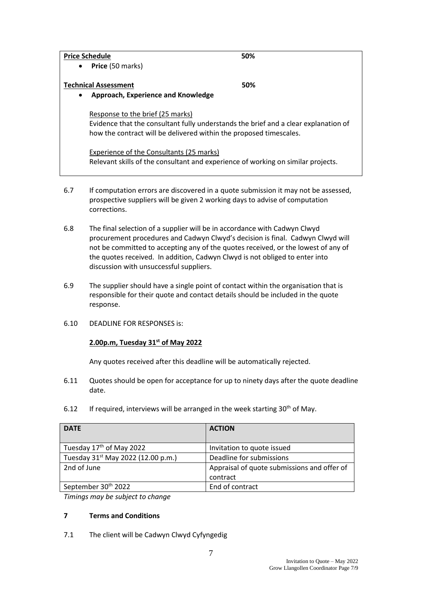| <b>Price Schedule</b>                           | 50%                                                                                 |
|-------------------------------------------------|-------------------------------------------------------------------------------------|
| Price (50 marks)<br>$\bullet$                   |                                                                                     |
| <b>Technical Assessment</b>                     | 50%                                                                                 |
| Approach, Experience and Knowledge<br>$\bullet$ |                                                                                     |
| Response to the brief (25 marks)                |                                                                                     |
|                                                 | Evidence that the consultant fully understands the brief and a clear explanation of |
|                                                 | how the contract will be delivered within the proposed timescales.                  |
| Experience of the Consultants (25 marks)        |                                                                                     |
|                                                 | Relevant skills of the consultant and experience of working on similar projects.    |

- 6.7 If computation errors are discovered in a quote submission it may not be assessed, prospective suppliers will be given 2 working days to advise of computation corrections.
- 6.8 The final selection of a supplier will be in accordance with Cadwyn Clwyd procurement procedures and Cadwyn Clwyd's decision is final. Cadwyn Clwyd will not be committed to accepting any of the quotes received, or the lowest of any of the quotes received. In addition, Cadwyn Clwyd is not obliged to enter into discussion with unsuccessful suppliers.
- 6.9 The supplier should have a single point of contact within the organisation that is responsible for their quote and contact details should be included in the quote response.
- 6.10 DEADLINE FOR RESPONSES is:

## **2.00p.m, Tuesday 31st of May 2022**

Any quotes received after this deadline will be automatically rejected.

- 6.11 Quotes should be open for acceptance for up to ninety days after the quote deadline date.
- 6.12 If required, interviews will be arranged in the week starting  $30<sup>th</sup>$  of May.

| <b>DATE</b>                                    | <b>ACTION</b>                                           |
|------------------------------------------------|---------------------------------------------------------|
| Tuesday 17 <sup>th</sup> of May 2022           | Invitation to quote issued                              |
| Tuesday 31 <sup>st</sup> May 2022 (12.00 p.m.) | Deadline for submissions                                |
| 2nd of June                                    | Appraisal of quote submissions and offer of<br>contract |
| September 30 <sup>th</sup> 2022                | End of contract                                         |

*Timings may be subject to change*

## **7 Terms and Conditions**

7.1 The client will be Cadwyn Clwyd Cyfyngedig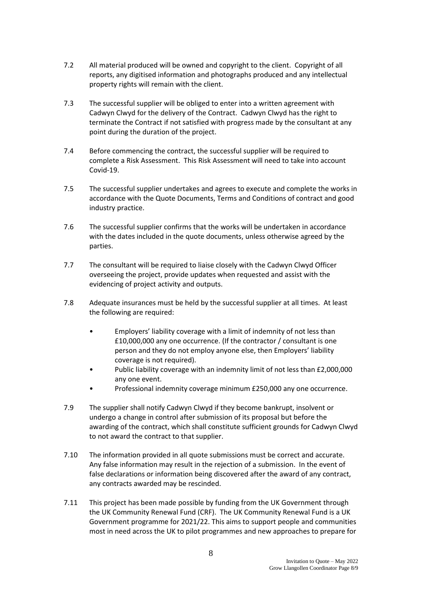- 7.2 All material produced will be owned and copyright to the client. Copyright of all reports, any digitised information and photographs produced and any intellectual property rights will remain with the client.
- 7.3 The successful supplier will be obliged to enter into a written agreement with Cadwyn Clwyd for the delivery of the Contract. Cadwyn Clwyd has the right to terminate the Contract if not satisfied with progress made by the consultant at any point during the duration of the project.
- 7.4 Before commencing the contract, the successful supplier will be required to complete a Risk Assessment. This Risk Assessment will need to take into account Covid-19.
- 7.5 The successful supplier undertakes and agrees to execute and complete the works in accordance with the Quote Documents, Terms and Conditions of contract and good industry practice.
- 7.6 The successful supplier confirms that the works will be undertaken in accordance with the dates included in the quote documents, unless otherwise agreed by the parties.
- 7.7 The consultant will be required to liaise closely with the Cadwyn Clwyd Officer overseeing the project, provide updates when requested and assist with the evidencing of project activity and outputs.
- 7.8 Adequate insurances must be held by the successful supplier at all times. At least the following are required:
	- Employers' liability coverage with a limit of indemnity of not less than £10,000,000 any one occurrence. (If the contractor / consultant is one person and they do not employ anyone else, then Employers' liability coverage is not required).
	- Public liability coverage with an indemnity limit of not less than £2,000,000 any one event.
	- Professional indemnity coverage minimum £250,000 any one occurrence.
- 7.9 The supplier shall notify Cadwyn Clwyd if they become bankrupt, insolvent or undergo a change in control after submission of its proposal but before the awarding of the contract, which shall constitute sufficient grounds for Cadwyn Clwyd to not award the contract to that supplier.
- 7.10 The information provided in all quote submissions must be correct and accurate. Any false information may result in the rejection of a submission. In the event of false declarations or information being discovered after the award of any contract, any contracts awarded may be rescinded.
- 7.11 This project has been made possible by funding from the UK Government through the UK Community Renewal Fund (CRF). The UK Community Renewal Fund is a UK Government programme for 2021/22. This aims to support people and communities most in need across the UK to pilot programmes and new approaches to prepare for